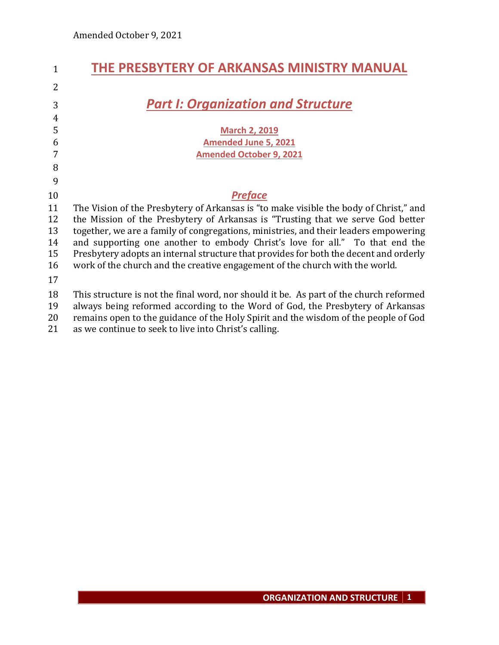| $\mathbf{1}$   | THE PRESBYTERY OF ARKANSAS MINISTRY MANUAL                                             |
|----------------|----------------------------------------------------------------------------------------|
| $\overline{2}$ |                                                                                        |
| 3              | <b>Part I: Organization and Structure</b>                                              |
| $\overline{4}$ |                                                                                        |
| 5              | <b>March 2, 2019</b>                                                                   |
| 6              | <b>Amended June 5, 2021</b>                                                            |
| 7              | <b>Amended October 9, 2021</b>                                                         |
| 8              |                                                                                        |
| 9              |                                                                                        |
| 10             | <b>Preface</b>                                                                         |
| 11             | The Vision of the Presbytery of Arkansas is "to make visible the body of Christ," and  |
| 12             | the Mission of the Presbytery of Arkansas is "Trusting that we serve God better        |
| 13             | together, we are a family of congregations, ministries, and their leaders empowering   |
| 14             | and supporting one another to embody Christ's love for all." To that end the           |
| 15             | Presbytery adopts an internal structure that provides for both the decent and orderly  |
| 16             | work of the church and the creative engagement of the church with the world.           |
| 17             |                                                                                        |
| 18             | This structure is not the final word, nor should it be. As part of the church reformed |
| 19             | always being reformed according to the Word of God, the Presbytery of Arkansas         |
| 20             | remains open to the guidance of the Holy Spirit and the wisdom of the people of God    |
| 21             | as we continue to seek to live into Christ's calling.                                  |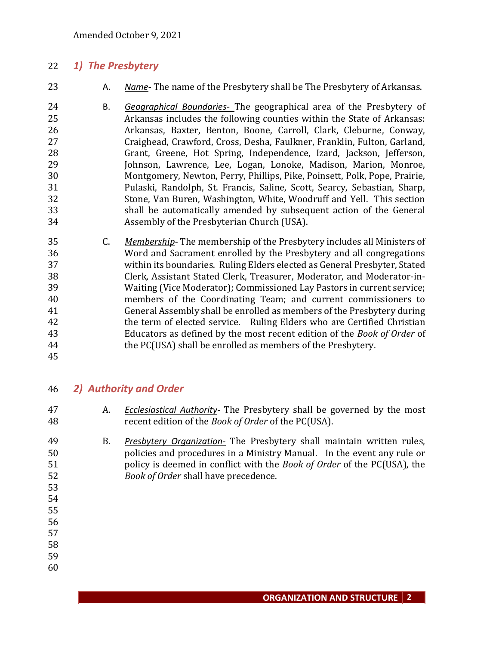## *1) The Presbytery*

- A. *Name* The name of the Presbytery shall be The Presbytery of Arkansas.
- B. *Geographical Boundaries-* The geographical area of the Presbytery of Arkansas includes the following counties within the State of Arkansas: Arkansas, Baxter, Benton, Boone, Carroll, Clark, Cleburne, Conway, Craighead, Crawford, Cross, Desha, Faulkner, Franklin, Fulton, Garland, Grant, Greene, Hot Spring, Independence, Izard, Jackson, Jefferson, Johnson, Lawrence, Lee, Logan, Lonoke, Madison, Marion, Monroe, Montgomery, Newton, Perry, Phillips, Pike, Poinsett, Polk, Pope, Prairie, Pulaski, Randolph, St. Francis, Saline, Scott, Searcy, Sebastian, Sharp, Stone, Van Buren, Washington, White, Woodruff and Yell. This section shall be automatically amended by subsequent action of the General Assembly of the Presbyterian Church (USA).
- C. *Membership* The membership of the Presbytery includes all Ministers of Word and Sacrament enrolled by the Presbytery and all congregations within its boundaries. Ruling Elders elected as General Presbyter, Stated Clerk, Assistant Stated Clerk, Treasurer, Moderator, and Moderator-in- Waiting (Vice Moderator); Commissioned Lay Pastors in current service; members of the Coordinating Team; and current commissioners to General Assembly shall be enrolled as members of the Presbytery during the term of elected service. Ruling Elders who are Certified Christian Educators as defined by the most recent edition of the *Book of Order* of the PC(USA) shall be enrolled as members of the Presbytery.
- 

# *2) Authority and Order*

- A. *Ecclesiastical Authority-* The Presbytery shall be governed by the most recent edition of the *Book of Order* of the PC(USA).
- B. *Presbytery Organization-* The Presbytery shall maintain written rules, policies and procedures in a Ministry Manual. In the event any rule or policy is deemed in conflict with the *Book of Order* of the PC(USA), the *Book of Order* shall have precedence.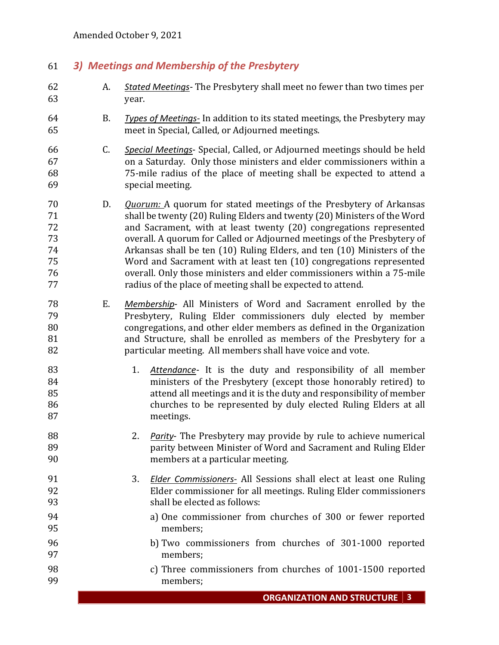## *3) Meetings and Membership of the Presbytery*

- A. *Stated Meetings* The Presbytery shall meet no fewer than two times per year.
- B. *Types of Meetings-* In addition to its stated meetings, the Presbytery may meet in Special, Called, or Adjourned meetings.
- C. *Special Meetings* Special, Called, or Adjourned meetings should be held on a Saturday. Only those ministers and elder commissioners within a 75-mile radius of the place of meeting shall be expected to attend a special meeting.
- D. *Quorum:* A quorum for stated meetings of the Presbytery of Arkansas shall be twenty (20) Ruling Elders and twenty (20) Ministers of the Word and Sacrament, with at least twenty (20) congregations represented overall. A quorum for Called or Adjourned meetings of the Presbytery of Arkansas shall be ten (10) Ruling Elders, and ten (10) Ministers of the Word and Sacrament with at least ten (10) congregations represented overall. Only those ministers and elder commissioners within a 75-mile radius of the place of meeting shall be expected to attend.
- E. *Membership* All Ministers of Word and Sacrament enrolled by the Presbytery, Ruling Elder commissioners duly elected by member congregations, and other elder members as defined in the Organization and Structure, shall be enrolled as members of the Presbytery for a particular meeting. All members shall have voice and vote.
- 1. *Attendance* It is the duty and responsibility of all member ministers of the Presbytery (except those honorably retired) to attend all meetings and it is the duty and responsibility of member churches to be represented by duly elected Ruling Elders at all meetings.
- 2. *Parity* The Presbytery may provide by rule to achieve numerical parity between Minister of Word and Sacrament and Ruling Elder members at a particular meeting.
- 3. *Elder Commissioners-* All Sessions shall elect at least one Ruling Elder commissioner for all meetings. Ruling Elder commissioners shall be elected as follows:
- a) One commissioner from churches of 300 or fewer reported members;
- b) Two commissioners from churches of 301-1000 reported members;
- c) Three commissioners from churches of 1001-1500 reported members;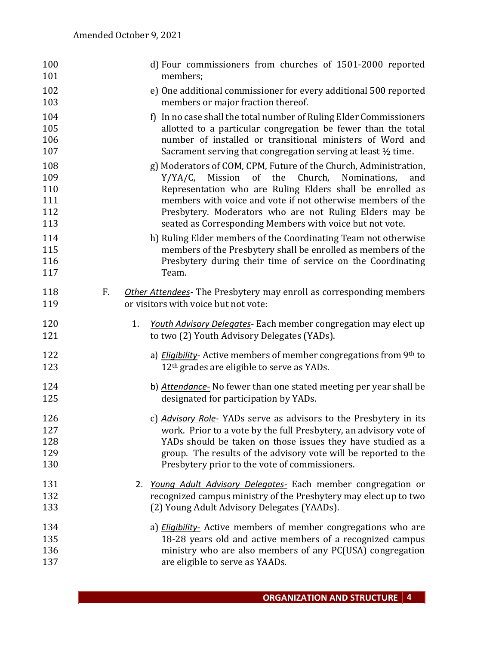| 100<br>101                             |    | d) Four commissioners from churches of 1501-2000 reported<br>members;                                                                                                                                                                                                                                                                                                        |
|----------------------------------------|----|------------------------------------------------------------------------------------------------------------------------------------------------------------------------------------------------------------------------------------------------------------------------------------------------------------------------------------------------------------------------------|
| 102<br>103                             |    | e) One additional commissioner for every additional 500 reported<br>members or major fraction thereof.                                                                                                                                                                                                                                                                       |
| 104<br>105<br>106<br>107               |    | f) In no case shall the total number of Ruling Elder Commissioners<br>allotted to a particular congregation be fewer than the total<br>number of installed or transitional ministers of Word and<br>Sacrament serving that congregation serving at least $\frac{1}{2}$ time.                                                                                                 |
| 108<br>109<br>110<br>111<br>112<br>113 |    | g) Moderators of COM, CPM, Future of the Church, Administration,<br>Y/YA/C,<br>Mission of the Church, Nominations,<br>and<br>Representation who are Ruling Elders shall be enrolled as<br>members with voice and vote if not otherwise members of the<br>Presbytery. Moderators who are not Ruling Elders may be<br>seated as Corresponding Members with voice but not vote. |
| 114<br>115<br>116<br>117               |    | h) Ruling Elder members of the Coordinating Team not otherwise<br>members of the Presbytery shall be enrolled as members of the<br>Presbytery during their time of service on the Coordinating<br>Team.                                                                                                                                                                      |
| 118<br>119                             | F. | Other Attendees- The Presbytery may enroll as corresponding members<br>or visitors with voice but not vote:                                                                                                                                                                                                                                                                  |
| 120<br>121                             |    | 1.<br>Youth Advisory Delegates- Each member congregation may elect up<br>to two (2) Youth Advisory Delegates (YADs).                                                                                                                                                                                                                                                         |
| 122<br>123                             |    | a) <i>Eligibility</i> - Active members of member congregations from 9th to<br>12 <sup>th</sup> grades are eligible to serve as YADs.                                                                                                                                                                                                                                         |
| 124<br>125                             |    | b) Attendance- No fewer than one stated meeting per year shall be<br>designated for participation by YADs.                                                                                                                                                                                                                                                                   |
| 126<br>127<br>128<br>129<br>130        |    | c) Advisory Role-YADs serve as advisors to the Presbytery in its<br>work. Prior to a vote by the full Presbytery, an advisory vote of<br>YADs should be taken on those issues they have studied as a<br>group. The results of the advisory vote will be reported to the<br>Presbytery prior to the vote of commissioners.                                                    |
| 131<br>132<br>133                      |    | 2. Young Adult Advisory Delegates- Each member congregation or<br>recognized campus ministry of the Presbytery may elect up to two<br>(2) Young Adult Advisory Delegates (YAADs).                                                                                                                                                                                            |
| 134<br>135<br>136<br>137               |    | a) <i>Eligibility</i> - Active members of member congregations who are<br>18-28 years old and active members of a recognized campus<br>ministry who are also members of any PC(USA) congregation<br>are eligible to serve as YAADs.                                                                                                                                          |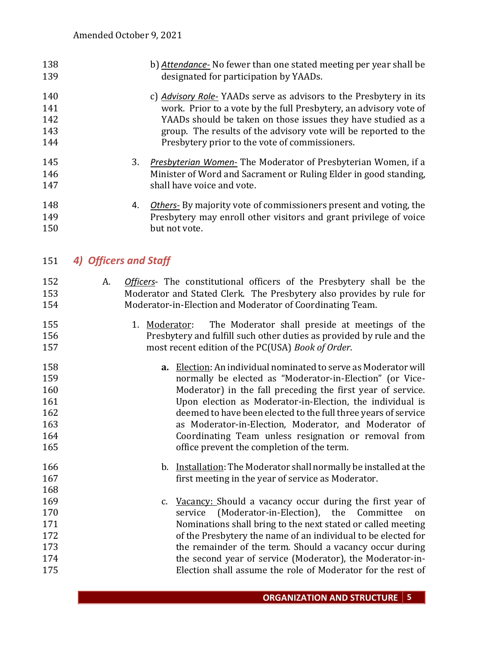| 138 | b) Attendance- No fewer than one stated meeting per year shall be |
|-----|-------------------------------------------------------------------|
| 139 | designated for participation by YAADs.                            |

## c) *Advisory Role-* YAADs serve as advisors to the Presbytery in its work. Prior to a vote by the full Presbytery, an advisory vote of YAADs should be taken on those issues they have studied as a group. The results of the advisory vote will be reported to the Presbytery prior to the vote of commissioners.

- 3. *Presbyterian Women-* The Moderator of Presbyterian Women, if a Minister of Word and Sacrament or Ruling Elder in good standing, shall have voice and vote.
- 4. *Others-* By majority vote of commissioners present and voting, the Presbytery may enroll other visitors and grant privilege of voice 150 but not vote.

# *4) Officers and Staff*

- A. *Officers* The constitutional officers of the Presbytery shall be the Moderator and Stated Clerk. The Presbytery also provides by rule for Moderator-in-Election and Moderator of Coordinating Team.
- 1. Moderator: The Moderator shall preside at meetings of the Presbytery and fulfill such other duties as provided by rule and the most recent edition of the PC(USA) *Book of Order*.
- **a.** Election: An individual nominated to serve as Moderator will normally be elected as "Moderator-in-Election" (or Vice- Moderator) in the fall preceding the first year of service. Upon election as Moderator-in-Election, the individual is deemed to have been elected to the full three years of service as Moderator-in-Election, Moderator, and Moderator of Coordinating Team unless resignation or removal from office prevent the completion of the term*.*
- b. Installation: The Moderator shall normally be installed at the first meeting in the year of service as Moderator.
- 169 c. Vacancy: Should a vacancy occur during the first year of service (Moderator-in-Election), the Committee on Nominations shall bring to the next stated or called meeting of the Presbytery the name of an individual to be elected for 173 the remainder of the term. Should a vacancy occur during the second year of service (Moderator), the Moderator-in-Election shall assume the role of Moderator for the rest of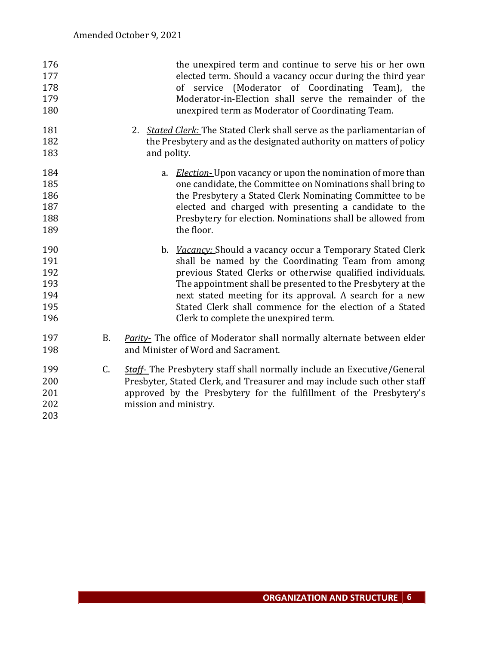| 176<br>177<br>178<br>179<br>180               |           | the unexpired term and continue to serve his or her own<br>elected term. Should a vacancy occur during the third year<br>of service (Moderator of Coordinating Team), the<br>Moderator-in-Election shall serve the remainder of the<br>unexpired term as Moderator of Coordinating Team.                                                                                                                               |
|-----------------------------------------------|-----------|------------------------------------------------------------------------------------------------------------------------------------------------------------------------------------------------------------------------------------------------------------------------------------------------------------------------------------------------------------------------------------------------------------------------|
| 181<br>182<br>183                             |           | 2. Stated Clerk: The Stated Clerk shall serve as the parliamentarian of<br>the Presbytery and as the designated authority on matters of policy<br>and polity.                                                                                                                                                                                                                                                          |
| 184<br>185<br>186<br>187<br>188<br>189        |           | a. <i>Election</i> -Upon vacancy or upon the nomination of more than<br>one candidate, the Committee on Nominations shall bring to<br>the Presbytery a Stated Clerk Nominating Committee to be<br>elected and charged with presenting a candidate to the<br>Presbytery for election. Nominations shall be allowed from<br>the floor.                                                                                   |
| 190<br>191<br>192<br>193<br>194<br>195<br>196 |           | b. <i>Vacancy:</i> Should a vacancy occur a Temporary Stated Clerk<br>shall be named by the Coordinating Team from among<br>previous Stated Clerks or otherwise qualified individuals.<br>The appointment shall be presented to the Presbytery at the<br>next stated meeting for its approval. A search for a new<br>Stated Clerk shall commence for the election of a Stated<br>Clerk to complete the unexpired term. |
| 197<br>198                                    | <b>B.</b> | <b>Parity-</b> The office of Moderator shall normally alternate between elder<br>and Minister of Word and Sacrament.                                                                                                                                                                                                                                                                                                   |
| 199<br>200<br>201<br>202<br>203               | C.        | <b>Staff-</b> The Presbytery staff shall normally include an Executive/General<br>Presbyter, Stated Clerk, and Treasurer and may include such other staff<br>approved by the Presbytery for the fulfillment of the Presbytery's<br>mission and ministry.                                                                                                                                                               |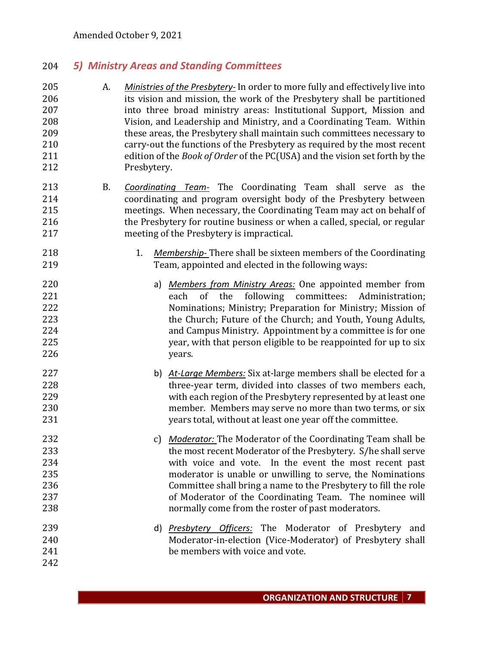## *5) Ministry Areas and Standing Committees*

- A. *Ministries of the Presbytery-* In order to more fully and effectively live into its vision and mission, the work of the Presbytery shall be partitioned into three broad ministry areas: Institutional Support, Mission and Vision, and Leadership and Ministry, and a Coordinating Team*.* Within these areas, the Presbytery shall maintain such committees necessary to carry-out the functions of the Presbytery as required by the most recent edition of the *Book of Order* of the PC(USA) and the vision set forth by the Presbytery.
- B. *Coordinating Team-* The Coordinating Team shall serve as the coordinating and program oversight body of the Presbytery between meetings. When necessary, the Coordinating Team may act on behalf of the Presbytery for routine business or when a called, special, or regular meeting of the Presbytery is impractical.
- 1. *Membership-* There shall be sixteen members of the Coordinating Team, appointed and elected in the following ways:
- a) *Members from Ministry Areas:* One appointed member from each of the following committees: Administration; Nominations; Ministry; Preparation for Ministry; Mission of the Church; Future of the Church; and Youth, Young Adults, and Campus Ministry. Appointment by a committee is for one year, with that person eligible to be reappointed for up to six years.
- b) *At-Large Members:* Six at-large members shall be elected for a three-year term, divided into classes of two members each, with each region of the Presbytery represented by at least one member. Members may serve no more than two terms, or six years total, without at least one year off the committee.
- c) *Moderator:* The Moderator of the Coordinating Team shall be the most recent Moderator of the Presbytery. S/he shall serve with voice and vote. In the event the most recent past moderator is unable or unwilling to serve, the Nominations Committee shall bring a name to the Presbytery to fill the role of Moderator of the Coordinating Team. The nominee will normally come from the roster of past moderators.
- d) *Presbytery Officers:* The Moderator of Presbytery and Moderator-in-election (Vice-Moderator) of Presbytery shall be members with voice and vote.
-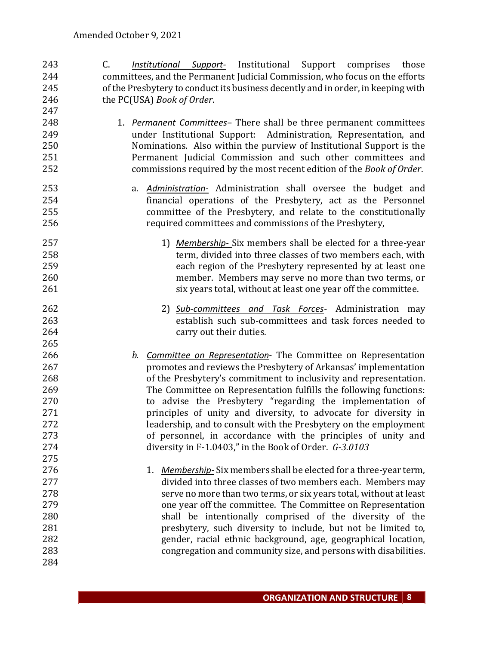- C. *Institutional Support-* Institutional Support comprises those committees, and the Permanent Judicial Commission, who focus on the efforts of the Presbytery to conduct its business decently and in order, in keeping with the PC(USA) *Book of Order*.
- 1. *Permanent Committees* There shall be three permanent committees under Institutional Support: Administration, Representation, and Nominations. Also within the purview of Institutional Support is the Permanent Judicial Commission and such other committees and commissions required by the most recent edition of the *Book of Order*.
- a. *Administration-* Administration shall oversee the budget and financial operations of the Presbytery, act as the Personnel committee of the Presbytery, and relate to the constitutionally required committees and commissions of the Presbytery,
- 1) *Membership-* Six members shall be elected for a three-year term, divided into three classes of two members each, with each region of the Presbytery represented by at least one member. Members may serve no more than two terms, or 261 six years total, without at least one year off the committee.
- 2) *Sub-committees and Task Forces* Administration may establish such sub-committees and task forces needed to 264 carry out their duties.
- *b. Committee on Representation* The Committee on Representation promotes and reviews the Presbytery of Arkansas' implementation of the Presbytery's commitment to inclusivity and representation. The Committee on Representation fulfills the following functions: to advise the Presbytery "regarding the implementation of principles of unity and diversity, to advocate for diversity in leadership, and to consult with the Presbytery on the employment of personnel, in accordance with the principles of unity and diversity in F-1.0403," in the Book of Order. *G-3.0103*
- 1. *Membership-*Six members shall be elected for a three-year term, divided into three classes of two members each. Members may serve no more than two terms, or six years total, without at least one year off the committee. The Committee on Representation shall be intentionally comprised of the diversity of the presbytery, such diversity to include, but not be limited to, gender, racial ethnic background, age, geographical location, congregation and community size, and persons with disabilities.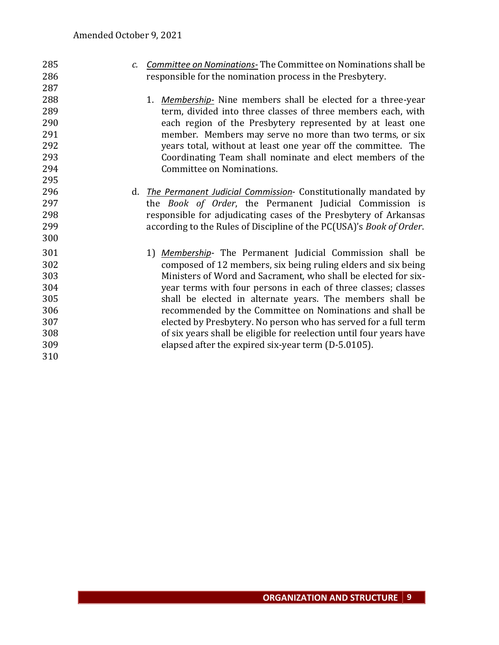| 285 | $\mathcal{C}$ . | <b>Committee on Nominations</b> -The Committee on Nominations shall be |
|-----|-----------------|------------------------------------------------------------------------|
| 286 |                 | responsible for the nomination process in the Presbytery.              |
| 287 |                 |                                                                        |
| 288 |                 | 1. <i>Membership</i> - Nine members shall be elected for a three-year  |
| 289 |                 | term, divided into three classes of three members each, with           |
| 290 |                 | each region of the Presbytery represented by at least one              |
| 291 |                 | member. Members may serve no more than two terms, or six               |
| 292 |                 | years total, without at least one year off the committee. The          |
| 293 |                 | Coordinating Team shall nominate and elect members of the              |
| 294 |                 | Committee on Nominations.                                              |
| 295 |                 |                                                                        |
| 296 | d.              | The Permanent Judicial Commission- Constitutionally mandated by        |
| 297 |                 | the Book of Order, the Permanent Judicial Commission is                |
| 298 |                 | responsible for adjudicating cases of the Presbytery of Arkansas       |
| 299 |                 | according to the Rules of Discipline of the PC(USA)'s Book of Order.   |
| 300 |                 |                                                                        |
| 301 |                 | 1) Membership- The Permanent Judicial Commission shall be              |
| 302 |                 | composed of 12 members, six being ruling elders and six being          |
| 303 |                 | Ministers of Word and Sacrament, who shall be elected for six-         |
| 304 |                 | year terms with four persons in each of three classes; classes         |
| 305 |                 | shall be elected in alternate years. The members shall be              |
| 306 |                 | recommended by the Committee on Nominations and shall be               |
| 307 |                 | elected by Presbytery. No person who has served for a full term        |
| 308 |                 | of six years shall be eligible for reelection until four years have    |
| 309 |                 | elapsed after the expired six-year term (D-5.0105).                    |
| 310 |                 |                                                                        |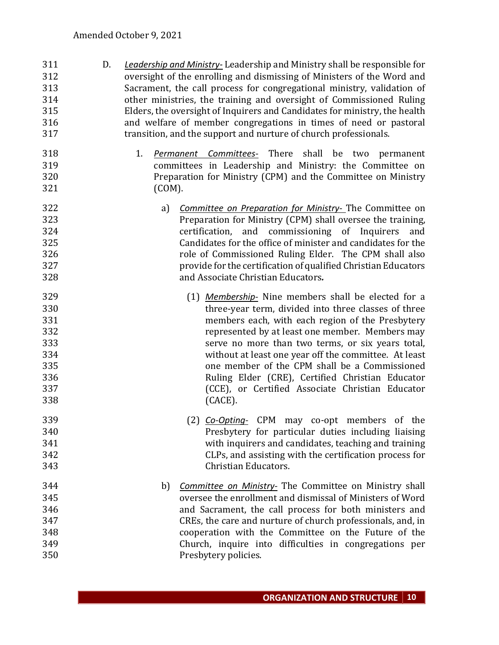- D. *Leadership and Ministry-* Leadership and Ministry shall be responsible for oversight of the enrolling and dismissing of Ministers of the Word and Sacrament, the call process for congregational ministry, validation of other ministries, the training and oversight of Commissioned Ruling Elders, the oversight of Inquirers and Candidates for ministry, the health and welfare of member congregations in times of need or pastoral transition, and the support and nurture of church professionals.
- 1. *Permanent Committees-* There shall be two permanent committees in Leadership and Ministry: the Committee on Preparation for Ministry (CPM) and the Committee on Ministry (COM).
- a) *Committee on Preparation for Ministry-* The Committee on Preparation for Ministry (CPM) shall oversee the training, certification, and commissioning of Inquirers and Candidates for the office of minister and candidates for the role of Commissioned Ruling Elder. The CPM shall also provide for the certification of qualified Christian Educators and Associate Christian Educators*.*
- (1) *Membership-* Nine members shall be elected for a three-year term, divided into three classes of three members each, with each region of the Presbytery represented by at least one member. Members may serve no more than two terms, or six years total, without at least one year off the committee. At least one member of the CPM shall be a Commissioned Ruling Elder (CRE), Certified Christian Educator (CCE), or Certified Associate Christian Educator (CACE).
- (2) *Co-Opting-* CPM may co-opt members of the Presbytery for particular duties including liaising with inquirers and candidates, teaching and training CLPs, and assisting with the certification process for Christian Educators.
- b) *Committee on Ministry-* The Committee on Ministry shall oversee the enrollment and dismissal of Ministers of Word and Sacrament, the call process for both ministers and CREs, the care and nurture of church professionals, and, in cooperation with the Committee on the Future of the Church, inquire into difficulties in congregations per Presbytery policies.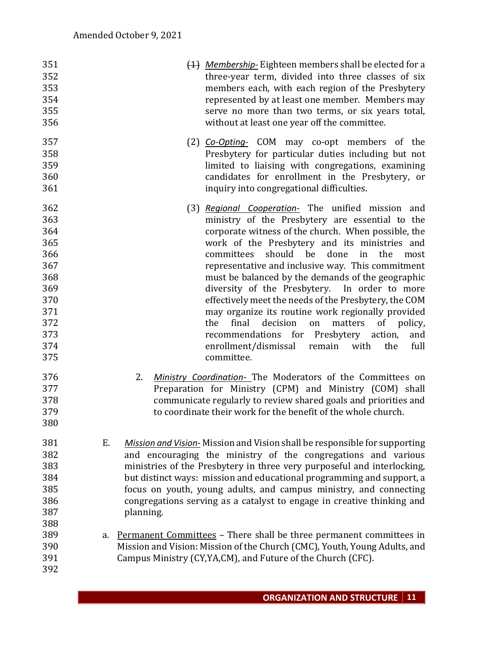| 351 |    | (1) Membership-Eighteen members shall be elected for a                    |
|-----|----|---------------------------------------------------------------------------|
| 352 |    | three-year term, divided into three classes of six                        |
| 353 |    | members each, with each region of the Presbytery                          |
| 354 |    | represented by at least one member. Members may                           |
| 355 |    | serve no more than two terms, or six years total,                         |
| 356 |    | without at least one year off the committee.                              |
| 357 |    | (2) <i>Co-Opting-</i> COM may co-opt members of the                       |
| 358 |    | Presbytery for particular duties including but not                        |
| 359 |    | limited to liaising with congregations, examining                         |
| 360 |    | candidates for enrollment in the Presbytery, or                           |
| 361 |    | inquiry into congregational difficulties.                                 |
| 362 |    | (3) Regional Cooperation- The unified mission and                         |
| 363 |    | ministry of the Presbytery are essential to the                           |
| 364 |    | corporate witness of the church. When possible, the                       |
| 365 |    | work of the Presbytery and its ministries and                             |
| 366 |    | should be<br>in<br>done<br>the<br>committees<br>most                      |
| 367 |    | representative and inclusive way. This commitment                         |
| 368 |    | must be balanced by the demands of the geographic                         |
| 369 |    | diversity of the Presbytery. In order to more                             |
| 370 |    | effectively meet the needs of the Presbytery, the COM                     |
| 371 |    | may organize its routine work regionally provided                         |
| 372 |    | the<br>final<br>decision<br>matters<br>of policy,<br>on                   |
| 373 |    | recommendations for Presbytery action,<br>and                             |
| 374 |    | enrollment/dismissal<br>remain with<br>full<br>the                        |
| 375 |    | committee.                                                                |
| 376 |    | Ministry Coordination- The Moderators of the Committees on<br>2.          |
| 377 |    | Preparation for Ministry (CPM) and Ministry (COM) shall                   |
| 378 |    | communicate regularly to review shared goals and priorities and           |
| 379 |    | to coordinate their work for the benefit of the whole church.             |
| 380 |    |                                                                           |
| 381 | Ε. | Mission and Vision-Mission and Vision shall be responsible for supporting |
| 382 |    | and encouraging the ministry of the congregations and various             |
| 383 |    | ministries of the Presbytery in three very purposeful and interlocking,   |
| 384 |    |                                                                           |
|     |    | but distinct ways: mission and educational programming and support, a     |
| 385 |    | focus on youth, young adults, and campus ministry, and connecting         |
| 386 |    | congregations serving as a catalyst to engage in creative thinking and    |
| 387 |    | planning.                                                                 |
| 388 |    |                                                                           |
| 389 | a. | Permanent Committees - There shall be three permanent committees in       |
| 390 |    | Mission and Vision: Mission of the Church (CMC), Youth, Young Adults, and |
| 391 |    | Campus Ministry (CY, YA, CM), and Future of the Church (CFC).             |
| 392 |    |                                                                           |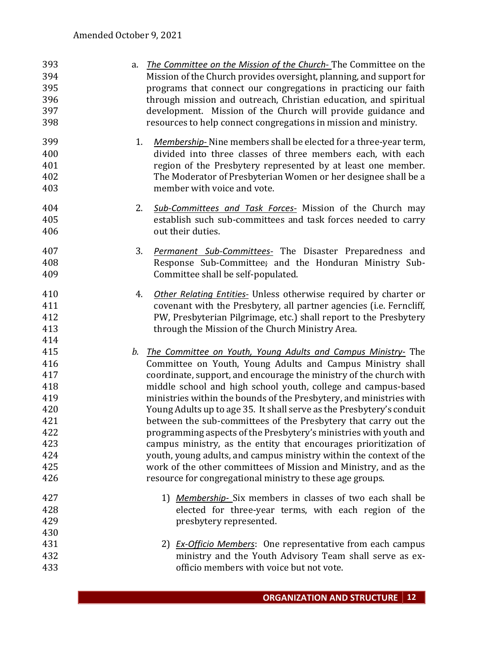| 393 | a. <i>The Committee on the Mission of the Church</i> -The Committee on the     |
|-----|--------------------------------------------------------------------------------|
| 394 | Mission of the Church provides oversight, planning, and support for            |
| 395 | programs that connect our congregations in practicing our faith                |
| 396 | through mission and outreach, Christian education, and spiritual               |
| 397 | development. Mission of the Church will provide guidance and                   |
| 398 | resources to help connect congregations in mission and ministry.               |
| 399 | 1.<br><i>Membership</i> - Nine members shall be elected for a three-year term, |
| 400 | divided into three classes of three members each, with each                    |
| 401 | region of the Presbytery represented by at least one member.                   |
| 402 | The Moderator of Presbyterian Women or her designee shall be a                 |
| 403 | member with voice and vote.                                                    |
| 404 | 2.<br>Sub-Committees and Task Forces- Mission of the Church may                |
| 405 | establish such sub-committees and task forces needed to carry                  |
| 406 | out their duties.                                                              |
| 407 | 3.<br><b>Permanent Sub-Committees-</b> The Disaster Preparedness and           |
| 408 | Response Sub-Committee; and the Honduran Ministry Sub-                         |
| 409 | Committee shall be self-populated.                                             |
| 410 | <b>Other Relating Entities-</b> Unless otherwise required by charter or<br>4.  |
| 411 | covenant with the Presbytery, all partner agencies (i.e. Ferncliff,            |
| 412 | PW, Presbyterian Pilgrimage, etc.) shall report to the Presbytery              |
| 413 | through the Mission of the Church Ministry Area.                               |
| 414 |                                                                                |
| 415 | The Committee on Youth, Young Adults and Campus Ministry- The<br>b.            |
| 416 | Committee on Youth, Young Adults and Campus Ministry shall                     |
| 417 | coordinate, support, and encourage the ministry of the church with             |
| 418 | middle school and high school youth, college and campus-based                  |
| 419 | ministries within the bounds of the Presbytery, and ministries with            |
| 420 | Young Adults up to age 35. It shall serve as the Presbytery's conduit          |
| 421 | between the sub-committees of the Presbytery that carry out the                |
| 422 | programming aspects of the Presbytery's ministries with youth and              |
| 423 | campus ministry, as the entity that encourages prioritization of               |
| 424 | youth, young adults, and campus ministry within the context of the             |
| 425 | work of the other committees of Mission and Ministry, and as the               |
| 426 | resource for congregational ministry to these age groups.                      |
| 427 | 1) Membership-Six members in classes of two each shall be                      |
| 428 | elected for three-year terms, with each region of the                          |
| 429 | presbytery represented.                                                        |
| 430 |                                                                                |
| 431 | 2) <i>Ex-Officio Members</i> : One representative from each campus             |
| 432 | ministry and the Youth Advisory Team shall serve as ex-                        |
| 433 | officio members with voice but not vote.                                       |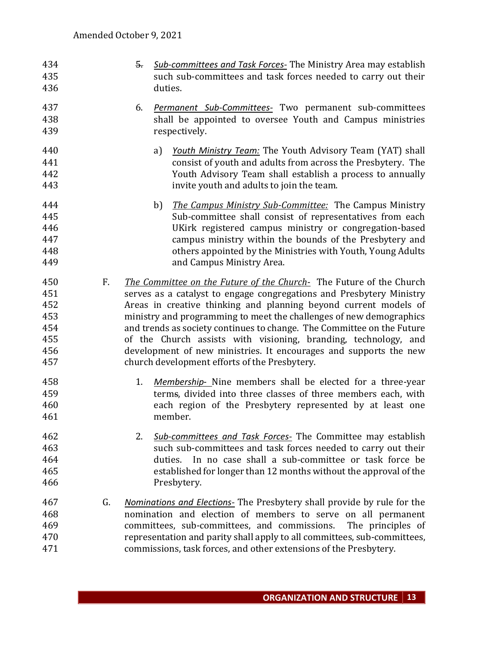- 5. *Sub-committees and Task Forces-* The Ministry Area may establish such sub-committees and task forces needed to carry out their duties.
- 6. *Permanent Sub-Committees-* Two permanent sub-committees shall be appointed to oversee Youth and Campus ministries respectively.
- a) *Youth Ministry Team:* The Youth Advisory Team (YAT) shall consist of youth and adults from across the Presbytery. The Youth Advisory Team shall establish a process to annually invite youth and adults to join the team.
- b) *The Campus Ministry Sub-Committee:* The Campus Ministry Sub-committee shall consist of representatives from each UKirk registered campus ministry or congregation-based campus ministry within the bounds of the Presbytery and others appointed by the Ministries with Youth, Young Adults and Campus Ministry Area.
- F. *The Committee on the Future of the Church-* The Future of the Church serves as a catalyst to engage congregations and Presbytery Ministry Areas in creative thinking and planning beyond current models of ministry and programming to meet the challenges of new demographics and trends as society continues to change. The Committee on the Future of the Church assists with visioning, branding, technology, and development of new ministries. It encourages and supports the new church development efforts of the Presbytery.
- 1. *Membership* Nine members shall be elected for a three-year terms, divided into three classes of three members each, with each region of the Presbytery represented by at least one member.
- 2. *Sub-committees and Task Forces-* The Committee may establish such sub-committees and task forces needed to carry out their duties. In no case shall a sub-committee or task force be established for longer than 12 months without the approval of the Presbytery.
- G. *Nominations and Elections-* The Presbytery shall provide by rule for the nomination and election of members to serve on all permanent committees, sub-committees, and commissions. The principles of representation and parity shall apply to all committees, sub-committees, commissions, task forces, and other extensions of the Presbytery.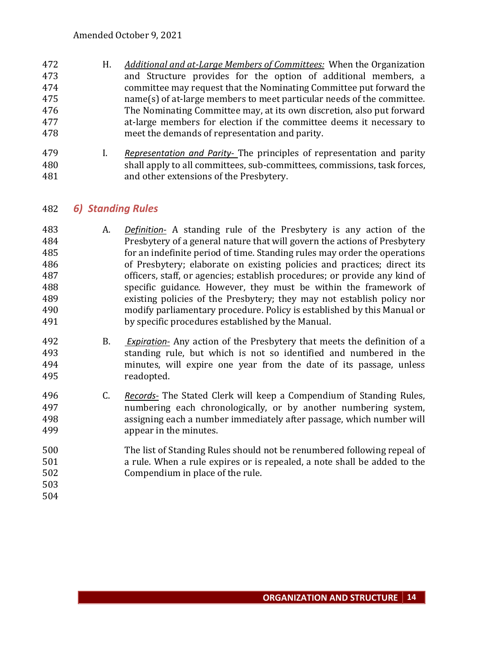- H. *Additional and at-Large Members of Committees:* When the Organization and Structure provides for the option of additional members, a committee may request that the Nominating Committee put forward the name(s) of at-large members to meet particular needs of the committee. The Nominating Committee may, at its own discretion, also put forward at-large members for election if the committee deems it necessary to meet the demands of representation and parity.
- I. *Representation and Parity-* The principles of representation and parity shall apply to all committees, sub-committees, commissions, task forces, and other extensions of the Presbytery.

## *6) Standing Rules*

- A. *Definition-* A standing rule of the Presbytery is any action of the Presbytery of a general nature that will govern the actions of Presbytery for an indefinite period of time. Standing rules may order the operations of Presbytery; elaborate on existing policies and practices; direct its officers, staff, or agencies; establish procedures; or provide any kind of specific guidance. However, they must be within the framework of existing policies of the Presbytery; they may not establish policy nor modify parliamentary procedure. Policy is established by this Manual or by specific procedures established by the Manual.
- B. *Expiration-* Any action of the Presbytery that meets the definition of a standing rule, but which is not so identified and numbered in the minutes, will expire one year from the date of its passage, unless readopted.
- C. *Records-* The Stated Clerk will keep a Compendium of Standing Rules, numbering each chronologically, or by another numbering system, assigning each a number immediately after passage, which number will appear in the minutes.
- The list of Standing Rules should not be renumbered following repeal of a rule. When a rule expires or is repealed, a note shall be added to the Compendium in place of the rule.
-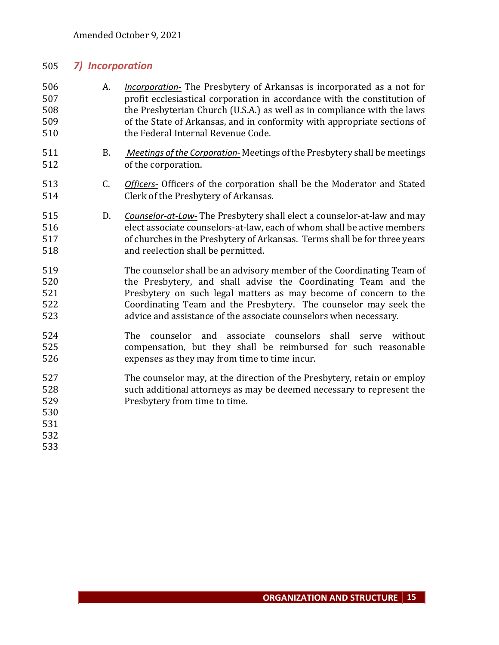## *7) Incorporation*

- A. *Incorporation-* The Presbytery of Arkansas is incorporated as a not for profit ecclesiastical corporation in accordance with the constitution of the Presbyterian Church (U.S.A.) as well as in compliance with the laws of the State of Arkansas, and in conformity with appropriate sections of the Federal Internal Revenue Code.
- B. *Meetings of the Corporation-* Meetings of the Presbytery shall be meetings of the corporation.
- C. *Officers-* Officers of the corporation shall be the Moderator and Stated Clerk of the Presbytery of Arkansas.
- D. *Counselor-at-Law-* The Presbytery shall elect a counselor-at-law and may elect associate counselors-at-law, each of whom shall be active members of churches in the Presbytery of Arkansas. Terms shall be for three years and reelection shall be permitted.
- The counselor shall be an advisory member of the Coordinating Team of the Presbytery, and shall advise the Coordinating Team and the Presbytery on such legal matters as may become of concern to the Coordinating Team and the Presbytery. The counselor may seek the advice and assistance of the associate counselors when necessary.
- The counselor and associate counselors shall serve without compensation, but they shall be reimbursed for such reasonable expenses as they may from time to time incur.
- The counselor may, at the direction of the Presbytery, retain or employ such additional attorneys as may be deemed necessary to represent the Presbytery from time to time.
- 
- 
- 
-